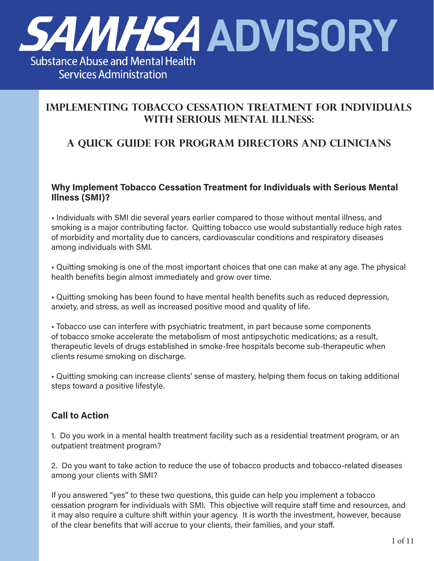

## **Implementing Tobacco Cessation Treatment for Individuals with Serious Mental Illness:**

## **A Quick Guide for Program Directors and Clinicians**

#### **Why Implement Tobacco Cessation Treatment for Individuals with Serious Mental Illness (SMI)?**

• Individuals with SMI die several years earlier compared to those without mental illness, and smoking is a major contributing factor. Quitting tobacco use would substantially reduce high rates of morbidity and mortality due to cancers, cardiovascular conditions and respiratory diseases among individuals with SMI.

• Quitting smoking is one of the most important choices that one can make at any age. The physical health benefits begin almost immediately and grow over time.

• Quitting smoking has been found to have mental health benefits such as reduced depression, anxiety, and stress, as well as increased positive mood and quality of life.

• Tobacco use can interfere with psychiatric treatment, in part because some components of tobacco smoke accelerate the metabolism of most antipsychotic medications; as a result, therapeutic levels of drugs established in smoke-free hospitals become sub-therapeutic when clients resume smoking on discharge.

• Quitting smoking can increase clients' sense of mastery, helping them focus on taking additional steps toward a positive lifestyle.

### **Call to Action**

1. Do you work in a mental health treatment facility such as a residential treatment program, or an outpatient treatment program?

2. Do you want to take action to reduce the use of tobacco products and tobacco-related diseases among your clients with SMI?

If you answered "yes" to these two questions, this guide can help you implement a tobacco cessation program for individuals with SMI. This objective will require staff time and resources, and it may also require a culture shift within your agency. It is worth the investment, however, because of the clear benefits that will accrue to your clients, their families, and your staff.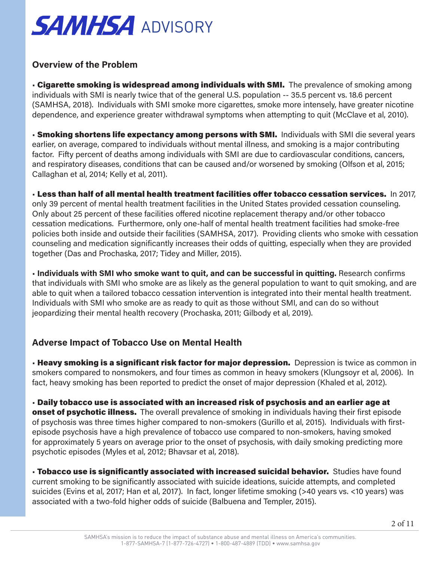#### **Overview of the Problem**

• Cigarette smoking is widespread among individuals with SMI. The prevalence of smoking among individuals with SMI is nearly twice that of the general U.S. population -- 35.5 percent vs. 18.6 percent (SAMHSA, 2018). Individuals with SMI smoke more cigarettes, smoke more intensely, have greater nicotine dependence, and experience greater withdrawal symptoms when attempting to quit (McClave et al, 2010).

• Smoking shortens life expectancy among persons with SMI. Individuals with SMI die several years earlier, on average, compared to individuals without mental illness, and smoking is a major contributing factor. Fifty percent of deaths among individuals with SMI are due to cardiovascular conditions, cancers, and respiratory diseases, conditions that can be caused and/or worsened by smoking (Olfson et al, 2015; Callaghan et al, 2014; Kelly et al, 2011).

• Less than half of all mental health treatment facilities offer tobacco cessation services. In 2017, only 39 percent of mental health treatment facilities in the United States provided cessation counseling. Only about 25 percent of these facilities offered nicotine replacement therapy and/or other tobacco cessation medications. Furthermore, only one-half of mental health treatment facilities had smoke-free policies both inside and outside their facilities (SAMHSA, 2017). Providing clients who smoke with cessation counseling and medication significantly increases their odds of quitting, especially when they are provided together (Das and Prochaska, 2017; Tidey and Miller, 2015).

• **Individuals with SMI who smoke want to quit, and can be successful in quitting.** Research confirms that individuals with SMI who smoke are as likely as the general population to want to quit smoking, and are able to quit when a tailored tobacco cessation intervention is integrated into their mental health treatment. Individuals with SMI who smoke are as ready to quit as those without SMI, and can do so without jeopardizing their mental health recovery (Prochaska, 2011; Gilbody et al, 2019).

### **Adverse Impact of Tobacco Use on Mental Health**

• Heavy smoking is a significant risk factor for major depression. Depression is twice as common in smokers compared to nonsmokers, and four times as common in heavy smokers (Klungsoyr et al, 2006). In fact, heavy smoking has been reported to predict the onset of major depression (Khaled et al, 2012).

• Daily tobacco use is associated with an increased risk of psychosis and an earlier age at **onset of psychotic illness.** The overall prevalence of smoking in individuals having their first episode of psychosis was three times higher compared to non-smokers (Gurillo et al, 2015). Individuals with firstepisode psychosis have a high prevalence of tobacco use compared to non-smokers, having smoked for approximately 5 years on average prior to the onset of psychosis, with daily smoking predicting more psychotic episodes (Myles et al, 2012; Bhavsar et al, 2018).

• Tobacco use is significantly associated with increased suicidal behavior. Studies have found current smoking to be significantly associated with suicide ideations, suicide attempts, and completed suicides (Evins et al, 2017; Han et al, 2017). In fact, longer lifetime smoking (>40 years vs. <10 years) was associated with a two-fold higher odds of suicide (Balbuena and Templer, 2015).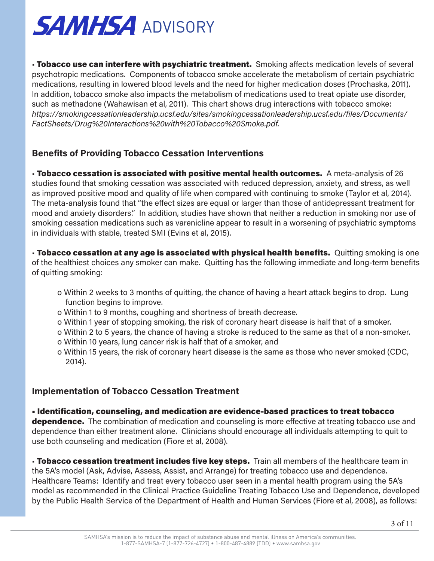• Tobacco use can interfere with psychiatric treatment. Smoking affects medication levels of several psychotropic medications. Components of tobacco smoke accelerate the metabolism of certain psychiatric medications, resulting in lowered blood levels and the need for higher medication doses (Prochaska, 2011). In addition, tobacco smoke also impacts the metabolism of medications used to treat opiate use disorder, such as methadone (Wahawisan et al, 2011). This chart shows drug interactions with tobacco smoke: *https://smokingcessationleadership.ucsf.edu/sites/smokingcessationleadership.ucsf.edu/files/Documents/ FactSheets/Drug%20Interactions%20with%20Tobacco%20Smoke.pdf.*

### **Benefits of Providing Tobacco Cessation Interventions**

• Tobacco cessation is associated with positive mental health outcomes. A meta-analysis of 26 studies found that smoking cessation was associated with reduced depression, anxiety, and stress, as well as improved positive mood and quality of life when compared with continuing to smoke (Taylor et al, 2014). The meta-analysis found that "the effect sizes are equal or larger than those of antidepressant treatment for mood and anxiety disorders." In addition, studies have shown that neither a reduction in smoking nor use of smoking cessation medications such as varenicline appear to result in a worsening of psychiatric symptoms in individuals with stable, treated SMI (Evins et al, 2015).

**· Tobacco cessation at any age is associated with physical health benefits.** Quitting smoking is one of the healthiest choices any smoker can make. Quitting has the following immediate and long-term benefits of quitting smoking:

- o Within 2 weeks to 3 months of quitting, the chance of having a heart attack begins to drop. Lung function begins to improve.
- o Within 1 to 9 months, coughing and shortness of breath decrease.
- o Within 1 year of stopping smoking, the risk of coronary heart disease is half that of a smoker.
- o Within 2 to 5 years, the chance of having a stroke is reduced to the same as that of a non-smoker.
- o Within 10 years, lung cancer risk is half that of a smoker, and
- o Within 15 years, the risk of coronary heart disease is the same as those who never smoked (CDC, 2014).

### **Implementation of Tobacco Cessation Treatment**

• Identification, counseling, and medication are evidence-based practices to treat tobacco **dependence.** The combination of medication and counseling is more effective at treating tobacco use and dependence than either treatment alone. Clinicians should encourage all individuals attempting to quit to use both counseling and medication (Fiore et al, 2008).

• Tobacco cessation treatment includes five key steps. Train all members of the healthcare team in the 5A's model (Ask, Advise, Assess, Assist, and Arrange) for treating tobacco use and dependence. Healthcare Teams: Identify and treat every tobacco user seen in a mental health program using the 5A's model as recommended in the Clinical Practice Guideline Treating Tobacco Use and Dependence, developed by the Public Health Service of the Department of Health and Human Services (Fiore et al, 2008), as follows: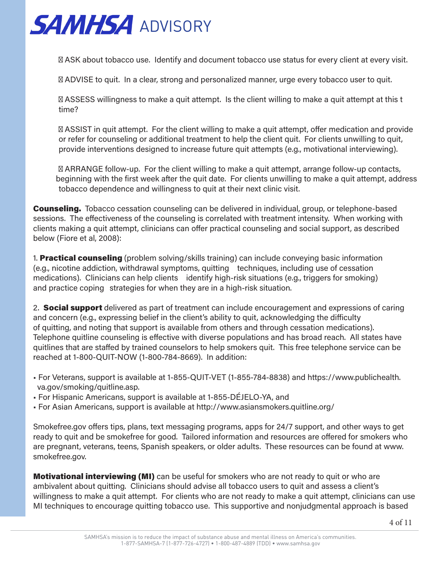

ASK about tobacco use. Identify and document tobacco use status for every client at every visit.

ADVISE to quit. In a clear, strong and personalized manner, urge every tobacco user to quit.

 ASSESS willingness to make a quit attempt. Is the client willing to make a quit attempt at this t time?

 ASSIST in quit attempt. For the client willing to make a quit attempt, offer medication and provide or refer for counseling or additional treatment to help the client quit. For clients unwilling to quit, provide interventions designed to increase future quit attempts (e.g., motivational interviewing).

 ARRANGE follow-up. For the client willing to make a quit attempt, arrange follow-up contacts, beginning with the first week after the quit date. For clients unwilling to make a quit attempt, address tobacco dependence and willingness to quit at their next clinic visit.

**Counseling.** Tobacco cessation counseling can be delivered in individual, group, or telephone-based sessions. The effectiveness of the counseling is correlated with treatment intensity. When working with clients making a quit attempt, clinicians can offer practical counseling and social support, as described below (Fiore et al, 2008):

1. **Practical counseling** (problem solving/skills training) can include conveying basic information (e.g., nicotine addiction, withdrawal symptoms, quitting techniques, including use of cessation medications). Clinicians can help clients identify high-risk situations (e.g., triggers for smoking) and practice coping strategies for when they are in a high-risk situation.

2. **Social support** delivered as part of treatment can include encouragement and expressions of caring and concern (e.g., expressing belief in the client's ability to quit, acknowledging the difficulty of quitting, and noting that support is available from others and through cessation medications). Telephone quitline counseling is effective with diverse populations and has broad reach. All states have quitlines that are staffed by trained counselors to help smokers quit. This free telephone service can be reached at 1-800-QUIT-NOW (1-800-784-8669). In addition:

- For Veterans, support is available at 1-855-QUIT-VET (1-855-784-8838) and https://www.publichealth. va.gov/smoking/quitline.asp.
- For Hispanic Americans, support is available at 1-855-DÉJELO-YA, and
- For Asian Americans, support is available at http://www.asiansmokers.quitline.org/

Smokefree.gov offers tips, plans, text messaging programs, apps for 24/7 support, and other ways to get ready to quit and be smokefree for good. Tailored information and resources are offered for smokers who are pregnant, veterans, teens, Spanish speakers, or older adults. These resources can be found at www. smokefree.gov.

Motivational interviewing (MI) can be useful for smokers who are not ready to quit or who are ambivalent about quitting. Clinicians should advise all tobacco users to quit and assess a client's willingness to make a quit attempt. For clients who are not ready to make a quit attempt, clinicians can use MI techniques to encourage quitting tobacco use. This supportive and nonjudgmental approach is based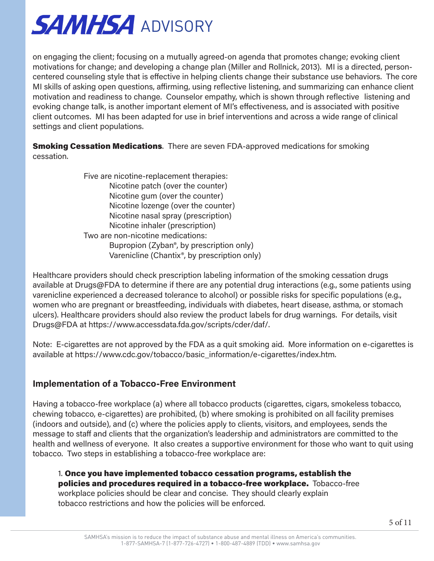on engaging the client; focusing on a mutually agreed-on agenda that promotes change; evoking client motivations for change; and developing a change plan (Miller and Rollnick, 2013). MI is a directed, personcentered counseling style that is effective in helping clients change their substance use behaviors. The core MI skills of asking open questions, affirming, using reflective listening, and summarizing can enhance client motivation and readiness to change. Counselor empathy, which is shown through reflective listening and evoking change talk, is another important element of MI's effectiveness, and is associated with positive client outcomes. MI has been adapted for use in brief interventions and across a wide range of clinical settings and client populations.

**Smoking Cessation Medications**. There are seven FDA-approved medications for smoking cessation.

> Five are nicotine-replacement therapies: Nicotine patch (over the counter) Nicotine gum (over the counter) Nicotine lozenge (over the counter) Nicotine nasal spray (prescription) Nicotine inhaler (prescription) Two are non-nicotine medications: Bupropion (Zyban®, by prescription only) Varenicline (Chantix®, by prescription only)

Healthcare providers should check prescription labeling information of the smoking cessation drugs available at Drugs@FDA to determine if there are any potential drug interactions (e.g., some patients using varenicline experienced a decreased tolerance to alcohol) or possible risks for specific populations (e.g., women who are pregnant or breastfeeding, individuals with diabetes, heart disease, asthma, or stomach ulcers). Healthcare providers should also review the product labels for drug warnings. For details, visit Drugs@FDA at https://www.accessdata.fda.gov/scripts/cder/daf/.

Note: E-cigarettes are not approved by the FDA as a quit smoking aid. More information on e-cigarettes is available at https://www.cdc.gov/tobacco/basic\_information/e-cigarettes/index.htm.

### **Implementation of a Tobacco-Free Environment**

Having a tobacco-free workplace (a) where all tobacco products (cigarettes, cigars, smokeless tobacco, chewing tobacco, e-cigarettes) are prohibited, (b) where smoking is prohibited on all facility premises (indoors and outside), and (c) where the policies apply to clients, visitors, and employees, sends the message to staff and clients that the organization's leadership and administrators are committed to the health and wellness of everyone. It also creates a supportive environment for those who want to quit using tobacco. Two steps in establishing a tobacco-free workplace are:

1. Once you have implemented tobacco cessation programs, establish the policies and procedures required in a tobacco-free workplace. Tobacco-free workplace policies should be clear and concise. They should clearly explain tobacco restrictions and how the policies will be enforced.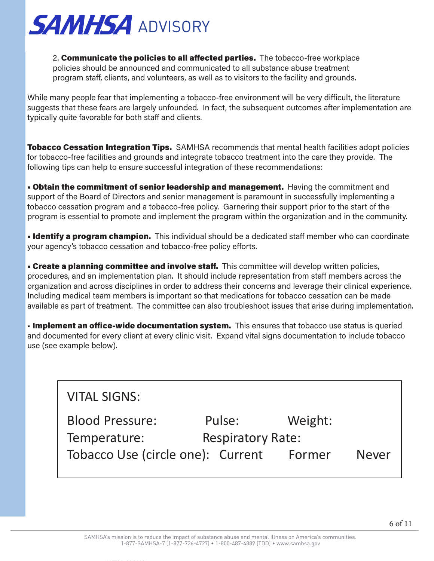

2. Communicate the policies to all affected parties. The tobacco-free workplace policies should be announced and communicated to all substance abuse treatment program staff, clients, and volunteers, as well as to visitors to the facility and grounds.

While many people fear that implementing a tobacco-free environment will be very difficult, the literature suggests that these fears are largely unfounded. In fact, the subsequent outcomes after implementation are typically quite favorable for both staff and clients.

**Tobacco Cessation Integration Tips.** SAMHSA recommends that mental health facilities adopt policies for tobacco-free facilities and grounds and integrate tobacco treatment into the care they provide. The following tips can help to ensure successful integration of these recommendations:

**• Obtain the commitment of senior leadership and management.** Having the commitment and support of the Board of Directors and senior management is paramount in successfully implementing a tobacco cessation program and a tobacco-free policy. Garnering their support prior to the start of the program is essential to promote and implement the program within the organization and in the community.

**• Identify a program champion.** This individual should be a dedicated staff member who can coordinate your agency's tobacco cessation and tobacco-free policy efforts.

**• Create a planning committee and involve staff.** This committee will develop written policies, procedures, and an implementation plan. It should include representation from staff members across the organization and across disciplines in order to address their concerns and leverage their clinical experience. Including medical team members is important so that medications for tobacco cessation can be made available as part of treatment. The committee can also troubleshoot issues that arise during implementation.

• Implement an office-wide documentation system. This ensures that tobacco use status is queried and documented for every client at every clinic visit. Expand vital signs documentation to include tobacco use (see example below).

| <b>VITAL SIGNS:</b>                                         |        |         |  |
|-------------------------------------------------------------|--------|---------|--|
| <b>Blood Pressure:</b>                                      | Pulse: | Weight: |  |
| <b>Respiratory Rate:</b><br>Temperature:                    |        |         |  |
| Tobacco Use (circle one): Current<br><b>Never</b><br>Former |        |         |  |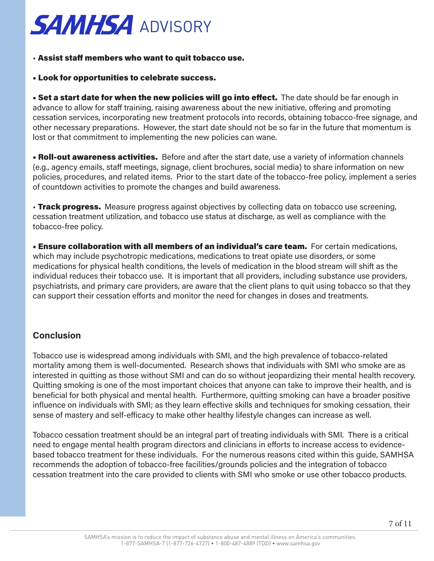#### • Assist staff members who want to quit tobacco use.

#### • Look for opportunities to celebrate success.

**• Set a start date for when the new policies will go into effect.** The date should be far enough in advance to allow for staff training, raising awareness about the new initiative, offering and promoting cessation services, incorporating new treatment protocols into records, obtaining tobacco-free signage, and other necessary preparations. However, the start date should not be so far in the future that momentum is lost or that commitment to implementing the new policies can wane.

**• Roll-out awareness activities.** Before and after the start date, use a variety of information channels (e.g., agency emails, staff meetings, signage, client brochures, social media) to share information on new policies, procedures, and related items. Prior to the start date of the tobacco-free policy, implement a series of countdown activities to promote the changes and build awareness.

• Track progress. Measure progress against objectives by collecting data on tobacco use screening, cessation treatment utilization, and tobacco use status at discharge, as well as compliance with the tobacco-free policy.

**Ensure collaboration with all members of an individual's care team.** For certain medications, which may include psychotropic medications, medications to treat opiate use disorders, or some medications for physical health conditions, the levels of medication in the blood stream will shift as the individual reduces their tobacco use. It is important that all providers, including substance use providers, psychiatrists, and primary care providers, are aware that the client plans to quit using tobacco so that they can support their cessation efforts and monitor the need for changes in doses and treatments.

### **Conclusion**

Tobacco use is widespread among individuals with SMI, and the high prevalence of tobacco-related mortality among them is well-documented. Research shows that individuals with SMI who smoke are as interested in quitting as those without SMI and can do so without jeopardizing their mental health recovery. Quitting smoking is one of the most important choices that anyone can take to improve their health, and is beneficial for both physical and mental health. Furthermore, quitting smoking can have a broader positive influence on individuals with SMI; as they learn effective skills and techniques for smoking cessation, their sense of mastery and self-efficacy to make other healthy lifestyle changes can increase as well.

Tobacco cessation treatment should be an integral part of treating individuals with SMI. There is a critical need to engage mental health program directors and clinicians in efforts to increase access to evidencebased tobacco treatment for these individuals. For the numerous reasons cited within this guide, SAMHSA recommends the adoption of tobacco-free facilities/grounds policies and the integration of tobacco cessation treatment into the care provided to clients with SMI who smoke or use other tobacco products.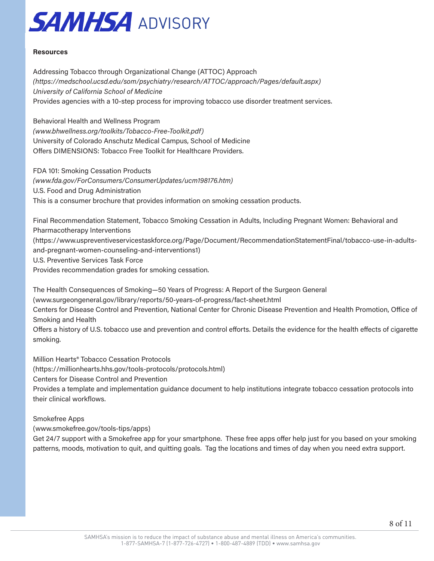

#### **Resources**

Addressing Tobacco through Organizational Change (ATTOC) Approach *(https://medschool.ucsd.edu/som/psychiatry/research/ATTOC/approach/Pages/default.aspx) University of California School of Medicine* Provides agencies with a 10-step process for improving tobacco use disorder treatment services.

Behavioral Health and Wellness Program *(www.bhwellness.org/toolkits/Tobacco-Free-Toolkit.pdf)* University of Colorado Anschutz Medical Campus, School of Medicine Offers DIMENSIONS: Tobacco Free Toolkit for Healthcare Providers.

FDA 101: Smoking Cessation Products *(www.fda.gov/ForConsumers/ConsumerUpdates/ucm198176.htm)* U.S. Food and Drug Administration This is a consumer brochure that provides information on smoking cessation products.

Final Recommendation Statement, Tobacco Smoking Cessation in Adults, Including Pregnant Women: Behavioral and Pharmacotherapy Interventions (https://www.uspreventiveservicestaskforce.org/Page/Document/RecommendationStatementFinal/tobacco-use-in-adultsand-pregnant-women-counseling-and-interventions1) U.S. Preventive Services Task Force Provides recommendation grades for smoking cessation.

The Health Consequences of Smoking—50 Years of Progress: A Report of the Surgeon General

(www.surgeongeneral.gov/library/reports/50-years-of-progress/fact-sheet.html

Centers for Disease Control and Prevention, National Center for Chronic Disease Prevention and Health Promotion, Office of Smoking and Health

Offers a history of U.S. tobacco use and prevention and control efforts. Details the evidence for the health effects of cigarette smoking.

Million Hearts® Tobacco Cessation Protocols

(https://millionhearts.hhs.gov/tools-protocols/protocols.html)

Centers for Disease Control and Prevention

Provides a template and implementation guidance document to help institutions integrate tobacco cessation protocols into their clinical workflows.

Smokefree Apps

(www.smokefree.gov/tools-tips/apps)

Get 24/7 support with a Smokefree app for your smartphone. These free apps offer help just for you based on your smoking patterns, moods, motivation to quit, and quitting goals. Tag the locations and times of day when you need extra support.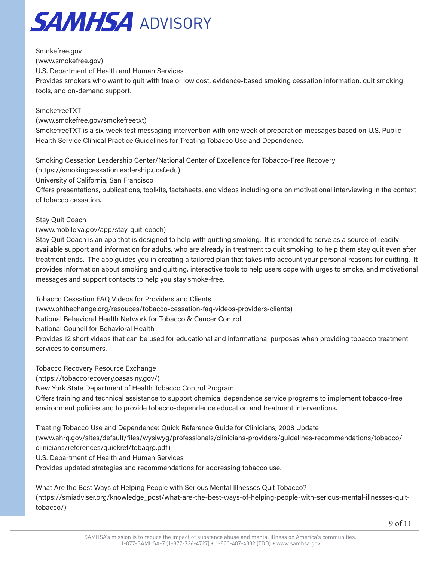

Smokefree.gov (www.smokefree.gov) U.S. Department of Health and Human Services Provides smokers who want to quit with free or low cost, evidence-based smoking cessation information, quit smoking tools, and on-demand support.

#### SmokefreeTXT

(www.smokefree.gov/smokefreetxt)

SmokefreeTXT is a six-week test messaging intervention with one week of preparation messages based on U.S. Public Health Service Clinical Practice Guidelines for Treating Tobacco Use and Dependence.

Smoking Cessation Leadership Center/National Center of Excellence for Tobacco-Free Recovery

(https://smokingcessationleadership.ucsf.edu)

University of California, San Francisco

Offers presentations, publications, toolkits, factsheets, and videos including one on motivational interviewing in the context of tobacco cessation.

#### Stay Quit Coach

(www.mobile.va.gov/app/stay-quit-coach)

Stay Quit Coach is an app that is designed to help with quitting smoking. It is intended to serve as a source of readily available support and information for adults, who are already in treatment to quit smoking, to help them stay quit even after treatment ends. The app guides you in creating a tailored plan that takes into account your personal reasons for quitting. It provides information about smoking and quitting, interactive tools to help users cope with urges to smoke, and motivational messages and support contacts to help you stay smoke-free.

Tobacco Cessation FAQ Videos for Providers and Clients (www.bhthechange.org/resouces/tobacco-cessation-faq-videos-providers-clients) National Behavioral Health Network for Tobacco & Cancer Control National Council for Behavioral Health Provides 12 short videos that can be used for educational and informational purposes when providing tobacco treatment services to consumers.

Tobacco Recovery Resource Exchange (https://tobaccorecovery.oasas.ny.gov/) New York State Department of Health Tobacco Control Program Offers training and technical assistance to support chemical dependence service programs to implement tobacco-free environment policies and to provide tobacco-dependence education and treatment interventions.

Treating Tobacco Use and Dependence: Quick Reference Guide for Clinicians, 2008 Update (www.ahrq.gov/sites/default/files/wysiwyg/professionals/clinicians-providers/guidelines-recommendations/tobacco/ clinicians/references/quickref/tobaqrg.pdf) U.S. Department of Health and Human Services

Provides updated strategies and recommendations for addressing tobacco use.

What Are the Best Ways of Helping People with Serious Mental Illnesses Quit Tobacco? (https://smiadviser.org/knowledge\_post/what-are-the-best-ways-of-helping-people-with-serious-mental-illnesses-quittobacco/)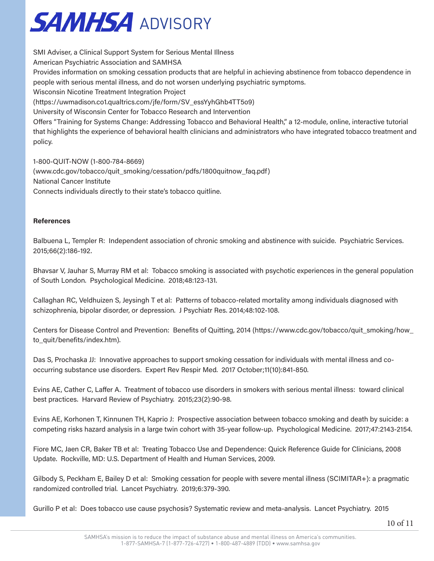

SMI Adviser, a Clinical Support System for Serious Mental Illness American Psychiatric Association and SAMHSA Provides information on smoking cessation products that are helpful in achieving abstinence from tobacco dependence in people with serious mental illness, and do not worsen underlying psychiatric symptoms. Wisconsin Nicotine Treatment Integration Project (https://uwmadison.co1.qualtrics.com/jfe/form/SV\_essYyhGhb4TT5o9) University of Wisconsin Center for Tobacco Research and Intervention Offers "Training for Systems Change: Addressing Tobacco and Behavioral Health," a 12-module, online, interactive tutorial that highlights the experience of behavioral health clinicians and administrators who have integrated tobacco treatment and policy.

1-800-QUIT-NOW (1-800-784-8669) (www.cdc.gov/tobacco/quit\_smoking/cessation/pdfs/1800quitnow\_faq.pdf) National Cancer Institute Connects individuals directly to their state's tobacco quitline.

#### **References**

Balbuena L, Templer R: Independent association of chronic smoking and abstinence with suicide. Psychiatric Services. 2015;66(2):186-192.

Bhavsar V, Jauhar S, Murray RM et al: Tobacco smoking is associated with psychotic experiences in the general population of South London. Psychological Medicine. 2018;48:123-131.

Callaghan RC, Veldhuizen S, Jeysingh T et al: Patterns of tobacco-related mortality among individuals diagnosed with schizophrenia, bipolar disorder, or depression. J Psychiatr Res. 2014;48:102-108.

Centers for Disease Control and Prevention: Benefits of Quitting, 2014 (https://www.cdc.gov/tobacco/quit\_smoking/how\_ to\_quit/benefits/index.htm).

Das S, Prochaska JJ: Innovative approaches to support smoking cessation for individuals with mental illness and cooccurring substance use disorders. Expert Rev Respir Med. 2017 October;11(10):841-850.

Evins AE, Cather C, Laffer A. Treatment of tobacco use disorders in smokers with serious mental illness: toward clinical best practices. Harvard Review of Psychiatry. 2015;23(2):90-98.

Evins AE, Korhonen T, Kinnunen TH, Kaprio J: Prospective association between tobacco smoking and death by suicide: a competing risks hazard analysis in a large twin cohort with 35-year follow-up. Psychological Medicine. 2017;47:2143-2154.

Fiore MC, Jaen CR, Baker TB et al: Treating Tobacco Use and Dependence: Quick Reference Guide for Clinicians, 2008 Update. Rockville, MD: U.S. Department of Health and Human Services, 2009.

Gilbody S, Peckham E, Bailey D et al: Smoking cessation for people with severe mental illness (SCIMITAR+): a pragmatic randomized controlled trial. Lancet Psychiatry. 2019;6:379-390.

Gurillo P et al: Does tobacco use cause psychosis? Systematic review and meta-analysis. Lancet Psychiatry. 2015